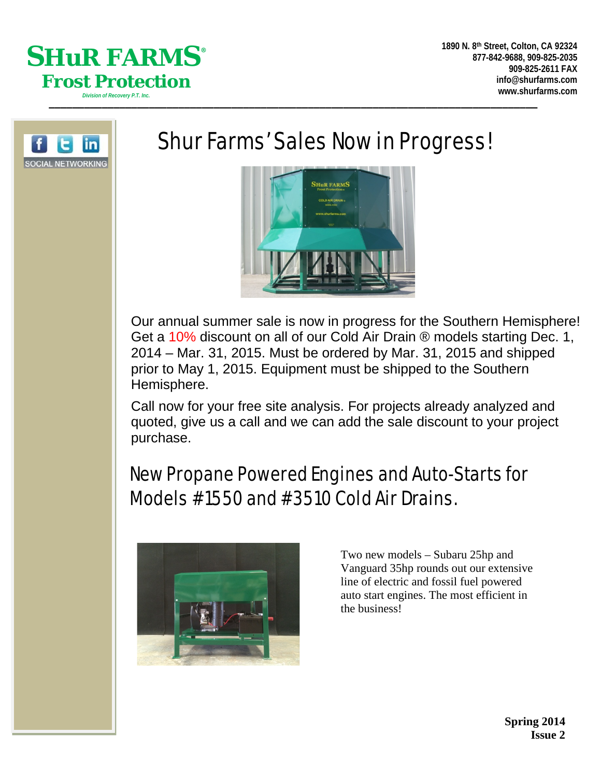



# Shur Farms' Sales Now in Progress!



Our annual summer sale is now in progress for the Southern Hemisphere! Get a 10% discount on all of our Cold Air Drain ® models starting Dec. 1, 2014 – Mar. 31, 2015. Must be ordered by Mar. 31, 2015 and shipped prior to May 1, 2015. Equipment must be shipped to the Southern Hemisphere.

Call now for your free site analysis. For projects already analyzed and quoted, give us a call and we can add the sale discount to your project purchase.

# New Propane Powered Engines and Auto-Starts for Models #1550 and #3510 Cold Air Drains.



Two new models – Subaru 25hp and Vanguard 35hp rounds out our extensive line of electric and fossil fuel powered auto start engines. The most efficient in the business!